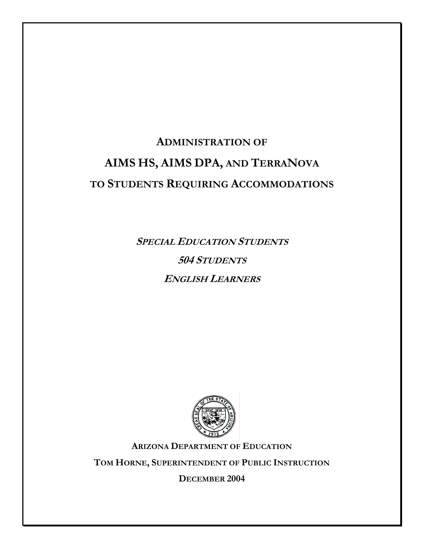# **ADMINISTRATION OF AIMS HS, AIMS DPA, AND TERRANOVA TO STUDENTS REQUIRING ACCOMMODATIONS**

**SPECIAL EDUCATION STUDENTS 504 STUDENTS ENGLISH LEARNERS**



**ARIZONA DEPARTMENT OF EDUCATION**

**TOM HORNE, SUPERINTENDENT OF PUBLIC INSTRUCTION**

**DECEMBER 2004**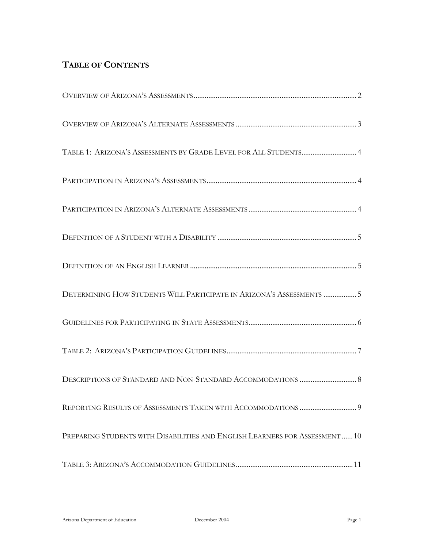# **TABLE OF CONTENTS**

| TABLE 1: ARIZONA'S ASSESSMENTS BY GRADE LEVEL FOR ALL STUDENTS 4             |
|------------------------------------------------------------------------------|
|                                                                              |
|                                                                              |
|                                                                              |
|                                                                              |
| DETERMINING HOW STUDENTS WILL PARTICIPATE IN ARIZONA'S ASSESSMENTS  5        |
|                                                                              |
|                                                                              |
|                                                                              |
|                                                                              |
| PREPARING STUDENTS WITH DISABILITIES AND ENGLISH LEARNERS FOR ASSESSMENT  10 |
|                                                                              |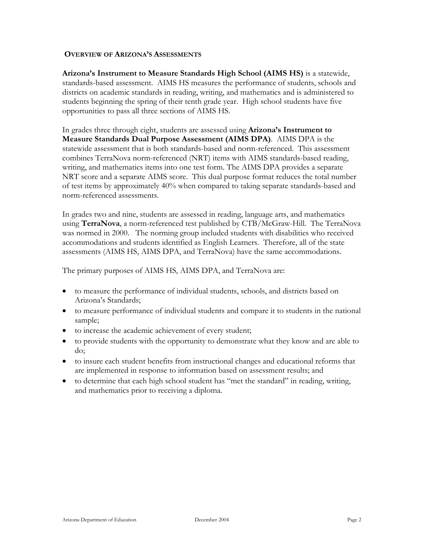#### **OVERVIEW OF ARIZONA'S ASSESSMENTS**

**Arizona's Instrument to Measure Standards High School (AIMS HS)** is a statewide, standards-based assessment. AIMS HS measures the performance of students, schools and districts on academic standards in reading, writing, and mathematics and is administered to students beginning the spring of their tenth grade year. High school students have five opportunities to pass all three sections of AIMS HS.

In grades three through eight, students are assessed using **Arizona's Instrument to Measure Standards Dual Purpose Assessment (AIMS DPA)**. AIMS DPA is the statewide assessment that is both standards-based and norm-referenced. This assessment combines TerraNova norm-referenced (NRT) items with AIMS standards-based reading, writing, and mathematics items into one test form. The AIMS DPA provides a separate NRT score and a separate AIMS score. This dual purpose format reduces the total number of test items by approximately 40% when compared to taking separate standards-based and norm-referenced assessments.

In grades two and nine, students are assessed in reading, language arts, and mathematics using **TerraNova**, a norm-referenced test published by CTB/McGraw-Hill. The TerraNova was normed in 2000. The norming group included students with disabilities who received accommodations and students identified as English Learners. Therefore, all of the state assessments (AIMS HS, AIMS DPA, and TerraNova) have the same accommodations.

The primary purposes of AIMS HS, AIMS DPA, and TerraNova are:

- to measure the performance of individual students, schools, and districts based on Arizona's Standards;
- to measure performance of individual students and compare it to students in the national sample;
- to increase the academic achievement of every student;
- to provide students with the opportunity to demonstrate what they know and are able to do;
- to insure each student benefits from instructional changes and educational reforms that are implemented in response to information based on assessment results; and
- to determine that each high school student has "met the standard" in reading, writing, and mathematics prior to receiving a diploma.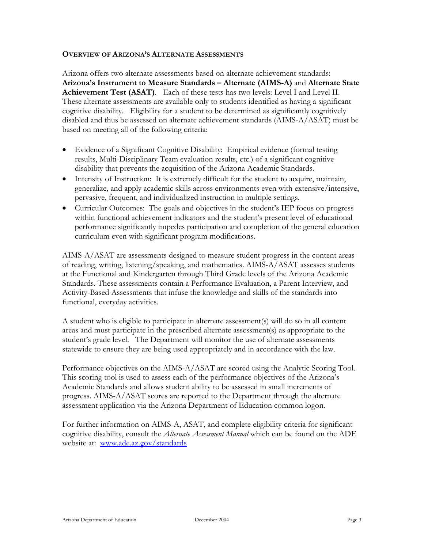#### **OVERVIEW OF ARIZONA'S ALTERNATE ASSESSMENTS**

Arizona offers two alternate assessments based on alternate achievement standards: **Arizona's Instrument to Measure Standards – Alternate (AIMS-A)** and **Alternate State Achievement Test (ASAT)**. Each of these tests has two levels: Level I and Level II. These alternate assessments are available only to students identified as having a significant cognitive disability. Eligibility for a student to be determined as significantly cognitively disabled and thus be assessed on alternate achievement standards (AIMS-A/ASAT) must be based on meeting all of the following criteria:

- Evidence of a Significant Cognitive Disability: Empirical evidence (formal testing results, Multi-Disciplinary Team evaluation results, etc.) of a significant cognitive disability that prevents the acquisition of the Arizona Academic Standards.
- Intensity of Instruction: It is extremely difficult for the student to acquire, maintain, generalize, and apply academic skills across environments even with extensive/intensive, pervasive, frequent, and individualized instruction in multiple settings.
- Curricular Outcomes: The goals and objectives in the student's IEP focus on progress within functional achievement indicators and the student's present level of educational performance significantly impedes participation and completion of the general education curriculum even with significant program modifications.

AIMS-A/ASAT are assessments designed to measure student progress in the content areas of reading, writing, listening/speaking, and mathematics. AIMS-A/ASAT assesses students at the Functional and Kindergarten through Third Grade levels of the Arizona Academic Standards. These assessments contain a Performance Evaluation, a Parent Interview, and Activity-Based Assessments that infuse the knowledge and skills of the standards into functional, everyday activities.

A student who is eligible to participate in alternate assessment(s) will do so in all content areas and must participate in the prescribed alternate assessment(s) as appropriate to the student's grade level. The Department will monitor the use of alternate assessments statewide to ensure they are being used appropriately and in accordance with the law.

Performance objectives on the AIMS-A/ASAT are scored using the Analytic Scoring Tool. This scoring tool is used to assess each of the performance objectives of the Arizona's Academic Standards and allows student ability to be assessed in small increments of progress. AIMS-A/ASAT scores are reported to the Department through the alternate assessment application via the Arizona Department of Education common logon.

For further information on AIMS-A, ASAT, and complete eligibility criteria for significant cognitive disability, consult the *Alternate Assessment Manual* which can be found on the ADE website at: [www.ade.az.gov/standards](http://www.ade.az.gov/standards)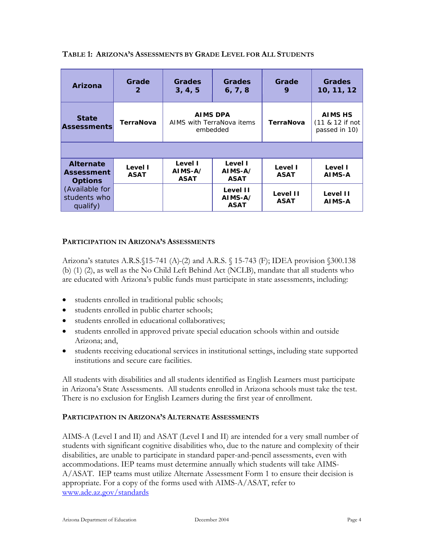| Arizona                                                 | Grade<br>$\mathbf{2}$  | <b>Grades</b><br>3, 4, 5                          | Grades<br>6, 7, 8                  | Grade<br>9              | Grades<br>10, 11, 12                               |
|---------------------------------------------------------|------------------------|---------------------------------------------------|------------------------------------|-------------------------|----------------------------------------------------|
| <b>State</b><br><b>Assessments</b>                      | TerraNova              | AIMS DPA<br>AIMS with TerraNova items<br>embedded |                                    | TerraNova               | <b>AIMS HS</b><br>(11 & 12 if not<br>passed in 10) |
|                                                         |                        |                                                   |                                    |                         |                                                    |
| <b>Alternate</b><br><b>Assessment</b><br><b>Options</b> | Level I<br><b>ASAT</b> | Level I<br>AIMS-A/<br><b>ASAT</b>                 | Level I<br>AIMS-A/<br><b>ASAT</b>  | Level I<br><b>ASAT</b>  | Level I<br>AIMS-A                                  |
| (Available for<br>students who<br>qualify)              |                        |                                                   | Level II<br>AIMS-A/<br><b>ASAT</b> | Level II<br><b>ASAT</b> | Level II<br>AIMS-A                                 |

# **TABLE 1: ARIZONA'S ASSESSMENTS BY GRADE LEVEL FOR ALL STUDENTS**

# **PARTICIPATION IN ARIZONA'S ASSESSMENTS**

Arizona's statutes A.R.S.§15-741 (A) (2) and A.R.S. § 15-743 (F); IDEA provision §300.138 (b) (1) (2), as well as the No Child Left Behind Act (NCLB), mandate that all students who are educated with Arizona's public funds must participate in state assessments, including:

- students enrolled in traditional public schools;
- students enrolled in public charter schools;
- students enrolled in educational collaboratives;
- students enrolled in approved private special education schools within and outside Arizona; and,
- students receiving educational services in institutional settings, including state supported institutions and secure care facilities.

All students with disabilities and all students identified as English Learners must participate in Arizona's State Assessments. All students enrolled in Arizona schools must take the test. There is no exclusion for English Learners during the first year of enrollment.

#### **PARTICIPATION IN ARIZONA'S ALTERNATE ASSESSMENTS**

AIMS-A (Level I and II) and ASAT (Level I and II) are intended for a very small number of students with significant cognitive disabilities who, due to the nature and complexity of their disabilities, are unable to participate in standard paper-and-pencil assessments, even with accommodations. IEP teams must determine annually which students will take AIMS-A/ASAT. IEP teams must utilize Alternate Assessment Form 1 to ensure their decision is appropriate. For a copy of the forms used with AIMS-A/ASAT, refer to [www.ade.az.gov/standards](http://www.ade.az.gov/standards)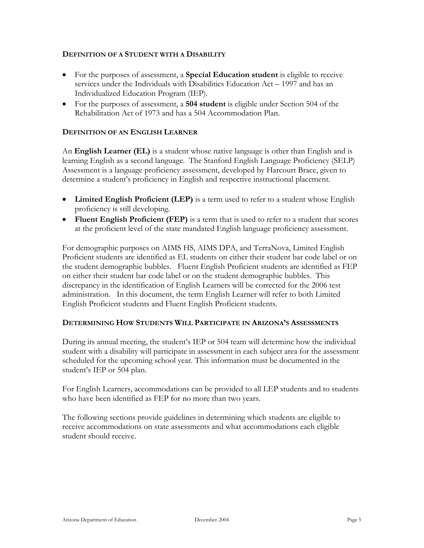#### **DEFINITION OF A STUDENT WITH A DISABILITY**

- For the purposes of assessment, a **Special Education student** is eligible to receive services under the Individuals with Disabilities Education Act – 1997 and has an Individualized Education Program (IEP).
- For the purposes of assessment, a **504 student** is eligible under Section 504 of the Rehabilitation Act of 1973 and has a 504 Accommodation Plan.

# **DEFINITION OF AN ENGLISH LEARNER**

An **English Learner (EL)** is a student whose native language is other than English and is learning English as a second language. The Stanford English Language Proficiency (SELP) Assessment is a language proficiency assessment, developed by Harcourt Brace, given to determine a student's proficiency in English and respective instructional placement.

- **Limited English Proficient (LEP)** is a term used to refer to a student whose English proficiency is still developing.
- **Fluent English Proficient (FEP)** is a term that is used to refer to a student that scores at the proficient level of the state mandated English language proficiency assessment.

For demographic purposes on AIMS HS, AIMS DPA, and TerraNova, Limited English Proficient students are identified as EL students on either their student bar code label or on the student demographic bubbles. Fluent English Proficient students are identified as FEP on either their student bar code label or on the student demographic bubbles. This discrepancy in the identification of English Learners will be corrected for the 2006 test administration. In this document, the term English Learner will refer to both Limited English Proficient students and Fluent English Proficient students.

#### **DETERMINING HOW STUDENTS WILL PARTICIPATE IN ARIZONA'S ASSESSMENTS**

During its annual meeting, the student's IEP or 504 team will determine how the individual student with a disability will participate in assessment in each subject area for the assessment scheduled for the upcoming school year. This information must be documented in the student's IEP or 504 plan.

For English Learners, accommodations can be provided to all LEP students and to students who have been identified as FEP for no more than two years.

The following sections provide guidelines in determining which students are eligible to receive accommodations on state assessments and what accommodations each eligible student should receive.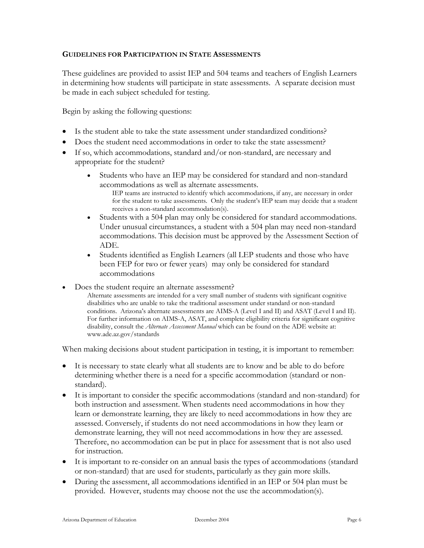#### **GUIDELINES FOR PARTICIPATION IN STATE ASSESSMENTS**

These guidelines are provided to assist IEP and 504 teams and teachers of English Learners in determining how students will participate in state assessments. A separate decision must be made in each subject scheduled for testing.

Begin by asking the following questions:

- Is the student able to take the state assessment under standardized conditions?
- Does the student need accommodations in order to take the state assessment?
- If so, which accommodations, standard and/or non-standard, are necessary and appropriate for the student?
	- Students who have an IEP may be considered for standard and non-standard accommodations as well as alternate assessments.
		- IEP teams are instructed to identify which accommodations, if any, are necessary in order for the student to take assessments. Only the student's IEP team may decide that a student receives a non-standard accommodation(s).
	- Students with a 504 plan may only be considered for standard accommodations. Under unusual circumstances, a student with a 504 plan may need non-standard accommodations. This decision must be approved by the Assessment Section of ADE.
	- Students identified as English Learners (all LEP students and those who have been FEP for two or fewer years) may only be considered for standard accommodations
- Does the student require an alternate assessment?
	- Alternate assessments are intended for a very small number of students with significant cognitive disabilities who are unable to take the traditional assessment under standard or non-standard conditions. Arizona's alternate assessments are AIMS-A (Level I and II) and ASAT (Level I and II). For further information on AIMS-A, ASAT, and complete eligibility criteria for significant cognitive disability, consult the *Alternate Assessment Manual* which can be found on the ADE website at: www.ade.az.gov/standards

When making decisions about student participation in testing, it is important to remember:

- It is necessary to state clearly what all students are to know and be able to do before determining whether there is a need for a specific accommodation (standard or nonstandard).
- It is important to consider the specific accommodations (standard and non-standard) for both instruction and assessment. When students need accommodations in how they learn or demonstrate learning, they are likely to need accommodations in how they are assessed. Conversely, if students do not need accommodations in how they learn or demonstrate learning, they will not need accommodations in how they are assessed. Therefore, no accommodation can be put in place for assessment that is not also used for instruction.
- It is important to re-consider on an annual basis the types of accommodations (standard or non-standard) that are used for students, particularly as they gain more skills.
- During the assessment, all accommodations identified in an IEP or 504 plan must be provided. However, students may choose not the use the accommodation(s).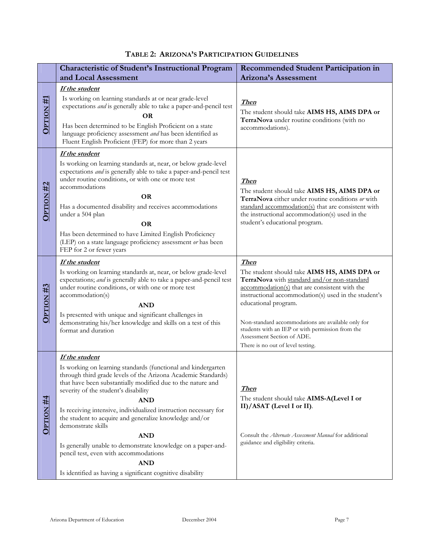|  | TABLE 2: ARIZONA'S PARTICIPATION GUIDELINES |  |  |
|--|---------------------------------------------|--|--|
|--|---------------------------------------------|--|--|

|                      | <b>Characteristic of Student's Instructional Program</b>                                                                                                                                                                                                                                                                                                                                                                                                                                                                                                                                                                     | <b>Recommended Student Participation in</b>                                                                                                                                                                                                                                                                                                                                                                              |
|----------------------|------------------------------------------------------------------------------------------------------------------------------------------------------------------------------------------------------------------------------------------------------------------------------------------------------------------------------------------------------------------------------------------------------------------------------------------------------------------------------------------------------------------------------------------------------------------------------------------------------------------------------|--------------------------------------------------------------------------------------------------------------------------------------------------------------------------------------------------------------------------------------------------------------------------------------------------------------------------------------------------------------------------------------------------------------------------|
|                      | and Local Assessment                                                                                                                                                                                                                                                                                                                                                                                                                                                                                                                                                                                                         | <b>Arizona's Assessment</b>                                                                                                                                                                                                                                                                                                                                                                                              |
| $OPIION$ #1          | If the student<br>Is working on learning standards at or near grade-level<br>expectations <i>and</i> is generally able to take a paper-and-pencil test<br><b>OR</b><br>Has been determined to be English Proficient on a state<br>language proficiency assessment and has been identified as<br>Fluent English Proficient (FEP) for more than 2 years                                                                                                                                                                                                                                                                        | Then<br>The student should take AIMS HS, AIMS DPA or<br>TerraNova under routine conditions (with no<br>accommodations).                                                                                                                                                                                                                                                                                                  |
| OPTION <sub>#2</sub> | If the student<br>Is working on learning standards at, near, or below grade-level<br>expectations <i>and</i> is generally able to take a paper-and-pencil test<br>under routine conditions, or with one or more test<br>accommodations<br><b>OR</b><br>Has a documented disability and receives accommodations<br>under a 504 plan<br><b>OR</b><br>Has been determined to have Limited English Proficiency<br>(LEP) on a state language proficiency assessment or has been<br>FEP for 2 or fewer years                                                                                                                       | <b>Then</b><br>The student should take AIMS HS, AIMS DPA or<br>TerraNova either under routine conditions or with<br>standard accommodation(s) that are consistent with<br>the instructional accommodation(s) used in the<br>student's educational program.                                                                                                                                                               |
| OPTION #3            | If the student<br>Is working on learning standards at, near, or below grade-level<br>expectations; and is generally able to take a paper-and-pencil test<br>under routine conditions, or with one or more test<br>accommodation(s)<br><b>AND</b><br>Is presented with unique and significant challenges in<br>demonstrating his/her knowledge and skills on a test of this<br>format and duration                                                                                                                                                                                                                            | <b>Then</b><br>The student should take AIMS HS, AIMS DPA or<br>TerraNova with standard and/or non-standard<br>accommodation(s) that are consistent with the<br>instructional accommodation(s) used in the student's<br>educational program.<br>Non-standard accommodations are available only for<br>students with an IEP or with permission from the<br>Assessment Section of ADE.<br>There is no out of level testing. |
| $OPTION$ #4          | If the student<br>Is working on learning standards (functional and kindergarten<br>through third grade levels of the Arizona Academic Standards)<br>that have been substantially modified due to the nature and<br>severity of the student's disability<br><b>AND</b><br>Is receiving intensive, individualized instruction necessary for<br>the student to acquire and generalize knowledge and/or<br>demonstrate skills<br><b>AND</b><br>Is generally unable to demonstrate knowledge on a paper-and-<br>pencil test, even with accommodations<br><b>AND</b><br>Is identified as having a significant cognitive disability | <u>Then</u><br>The student should take AIMS-A(Level I or<br>II)/ASAT (Level I or II).<br>Consult the Alternate Assessment Manual for additional<br>guidance and eligibility criteria.                                                                                                                                                                                                                                    |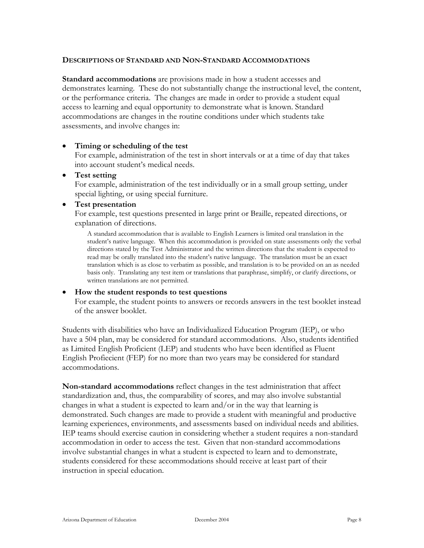#### **DESCRIPTIONS OF STANDARD AND NON-STANDARD ACCOMMODATIONS**

**Standard accommodations** are provisions made in how a student accesses and demonstrates learning. These do not substantially change the instructional level, the content, or the performance criteria. The changes are made in order to provide a student equal access to learning and equal opportunity to demonstrate what is known. Standard accommodations are changes in the routine conditions under which students take assessments, and involve changes in:

#### • **Timing or scheduling of the test**

For example, administration of the test in short intervals or at a time of day that takes into account student's medical needs.

#### • **Test setting**

For example, administration of the test individually or in a small group setting, under special lighting, or using special furniture.

#### • **Test presentation**

For example, test questions presented in large print or Braille, repeated directions, or explanation of directions.

A standard accommodation that is available to English Learners is limited oral translation in the student's native language. When this accommodation is provided on state assessments only the verbal directions stated by the Test Administrator and the written directions that the student is expected to read may be orally translated into the student's native language. The translation must be an exact translation which is as close to verbatim as possible, and translation is to be provided on an as needed basis only. Translating any test item or translations that paraphrase, simplify, or clarify directions, or written translations are not permitted.

#### • **How the student responds to test questions**

For example, the student points to answers or records answers in the test booklet instead of the answer booklet.

Students with disabilities who have an Individualized Education Program (IEP), or who have a 504 plan, may be considered for standard accommodations. Also, students identified as Limited English Proficient (LEP) and students who have been identified as Fluent English Profiecient (FEP) for no more than two years may be considered for standard accommodations.

**Non-standard accommodations** reflect changes in the test administration that affect standardization and, thus, the comparability of scores, and may also involve substantial changes in what a student is expected to learn and/or in the way that learning is demonstrated. Such changes are made to provide a student with meaningful and productive learning experiences, environments, and assessments based on individual needs and abilities. IEP teams should exercise caution in considering whether a student requires a non-standard accommodation in order to access the test. Given that non-standard accommodations involve substantial changes in what a student is expected to learn and to demonstrate, students considered for these accommodations should receive at least part of their instruction in special education.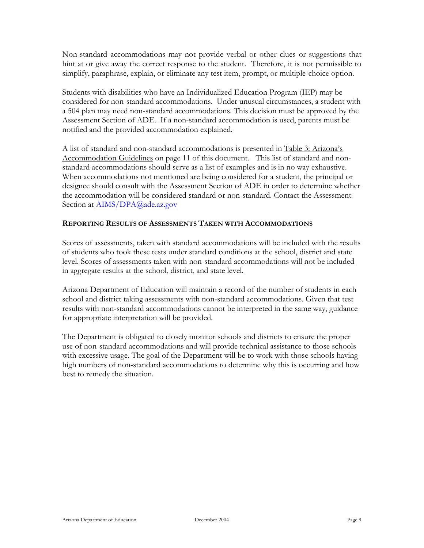Non-standard accommodations may not provide verbal or other clues or suggestions that hint at or give away the correct response to the student. Therefore, it is not permissible to simplify, paraphrase, explain, or eliminate any test item, prompt, or multiple-choice option.

Students with disabilities who have an Individualized Education Program (IEP) may be considered for non-standard accommodations. Under unusual circumstances, a student with a 504 plan may need non-standard accommodations. This decision must be approved by the Assessment Section of ADE. If a non-standard accommodation is used, parents must be notified and the provided accommodation explained.

A list of standard and non-standard accommodations is presented in Table 3: Arizona's Accommodation Guidelines on page 11 of this document. This list of standard and nonstandard accommodations should serve as a list of examples and is in no way exhaustive. When accommodations not mentioned are being considered for a student, the principal or designee should consult with the Assessment Section of ADE in order to determine whether the accommodation will be considered standard or non-standard. Contact the Assessment Section at **[AIMS/DPA@ade.az.gov](mailto:AS&A_Group@ade.az.gov)** 

# **REPORTING RESULTS OF ASSESSMENTS TAKEN WITH ACCOMMODATIONS**

Scores of assessments, taken with standard accommodations will be included with the results of students who took these tests under standard conditions at the school, district and state level. Scores of assessments taken with non-standard accommodations will not be included in aggregate results at the school, district, and state level.

Arizona Department of Education will maintain a record of the number of students in each school and district taking assessments with non-standard accommodations. Given that test results with non-standard accommodations cannot be interpreted in the same way, guidance for appropriate interpretation will be provided.

The Department is obligated to closely monitor schools and districts to ensure the proper use of non-standard accommodations and will provide technical assistance to those schools with excessive usage. The goal of the Department will be to work with those schools having high numbers of non-standard accommodations to determine why this is occurring and how best to remedy the situation.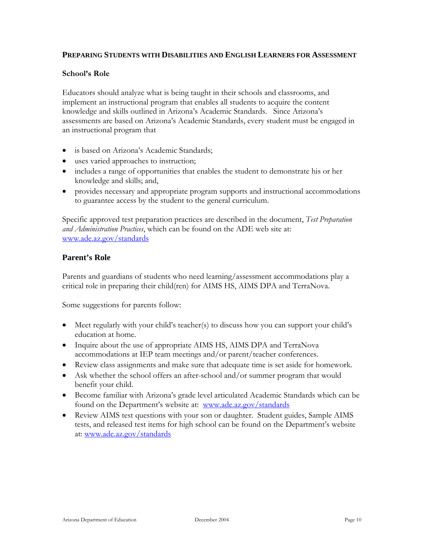# **PREPARING STUDENTS WITH DISABILITIES AND ENGLISH LEARNERS FOR ASSESSMENT**

#### **School's Role**

Educators should analyze what is being taught in their schools and classrooms, and implement an instructional program that enables all students to acquire the content knowledge and skills outlined in Arizona's Academic Standards. Since Arizona's assessments are based on Arizona's Academic Standards, every student must be engaged in an instructional program that

- is based on Arizona's Academic Standards;
- uses varied approaches to instruction;
- includes a range of opportunities that enables the student to demonstrate his or her knowledge and skills; and,
- provides necessary and appropriate program supports and instructional accommodations to guarantee access by the student to the general curriculum.

Specific approved test preparation practices are described in the document, *Test Preparation and Administration Practices*, which can be found on the ADE web site at: [www.ade.az.gov/standards](http://www.ade.az.gov/standards)

# **Parent's Role**

Parents and guardians of students who need learning/assessment accommodations play a critical role in preparing their child(ren) for AIMS HS, AIMS DPA and TerraNova.

Some suggestions for parents follow:

- Meet regularly with your child's teacher(s) to discuss how you can support your child's education at home.
- Inquire about the use of appropriate AIMS HS, AIMS DPA and TerraNova accommodations at IEP team meetings and/or parent/teacher conferences.
- Review class assignments and make sure that adequate time is set aside for homework.
- Ask whether the school offers an after-school and/or summer program that would benefit your child.
- Become familiar with Arizona's grade level articulated Academic Standards which can be found on the Department's website at: [www.ade.az.gov/standards](http://www.ade.az.gov/standards)
- Review AIMS test questions with your son or daughter. Student guides, Sample AIMS tests, and released test items for high school can be found on the Department's website at: w[ww.ade.az.gov/standards](http://www.ade.az.gov/standards)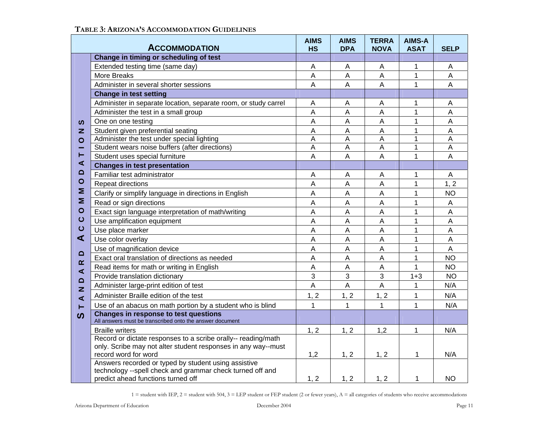|                                            | <b>ACCOMMODATION</b>                                                                                                                                    | <b>AIMS</b><br><b>HS</b> | <b>AIMS</b><br><b>DPA</b> | <b>TERRA</b><br><b>NOVA</b> | <b>AIMS-A</b><br><b>ASAT</b> | <b>SELP</b>    |
|--------------------------------------------|---------------------------------------------------------------------------------------------------------------------------------------------------------|--------------------------|---------------------------|-----------------------------|------------------------------|----------------|
|                                            | Change in timing or scheduling of test                                                                                                                  |                          |                           |                             |                              |                |
|                                            | Extended testing time (same day)                                                                                                                        | A                        | A                         | $\overline{A}$              | 1                            | A              |
|                                            | More Breaks                                                                                                                                             | A                        | $\overline{A}$            | $\mathsf A$                 | 1                            | A              |
|                                            | Administer in several shorter sessions                                                                                                                  | $\overline{A}$           | $\overline{A}$            | $\overline{A}$              | $\mathbf{1}$                 | A              |
|                                            | <b>Change in test setting</b>                                                                                                                           |                          |                           |                             |                              |                |
|                                            | Administer in separate location, separate room, or study carrel                                                                                         | A                        | Α                         | Α                           | 1                            | A              |
|                                            | Administer the test in a small group                                                                                                                    | A                        | A                         | A                           | $\mathbf{1}$                 | A              |
| ທ                                          | One on one testing                                                                                                                                      | A                        | A                         | $\mathsf{A}$                | 1                            | A              |
| z                                          | Student given preferential seating                                                                                                                      | A                        | A                         | A                           | 1                            | A              |
| $\circ$                                    | Administer the test under special lighting                                                                                                              | Α                        | A                         | A                           | 1                            | A              |
|                                            | Student wears noise buffers (after directions)                                                                                                          | A                        | A                         | A                           | $\mathbf{1}$                 | A              |
| ⊢                                          | Student uses special furniture                                                                                                                          | A                        | $\overline{A}$            | A                           | $\mathbf{1}$                 | A              |
| ⋖<br>≏                                     | <b>Changes in test presentation</b>                                                                                                                     |                          |                           |                             |                              |                |
|                                            | Familiar test administrator                                                                                                                             | A                        | A                         | A                           | 1                            | A              |
| $\circ$                                    | Repeat directions                                                                                                                                       | $\overline{A}$           | A                         | $\overline{A}$              | $\mathbf{1}$                 | 1, 2           |
| Σ                                          | Clarify or simplify language in directions in English                                                                                                   | A                        | A                         | A                           | $\overline{1}$               | <b>NO</b>      |
| Σ                                          | Read or sign directions                                                                                                                                 | Α                        | A                         | A                           | 1                            | $\mathsf{A}$   |
| $\circ$<br>$\mathbf C$<br>$\mathbf C$<br>⋖ | Exact sign language interpretation of math/writing                                                                                                      | A                        | A                         | $\overline{A}$              | $\mathbf{1}$                 | A              |
|                                            | Use amplification equipment                                                                                                                             | A                        | $\overline{A}$            | $\overline{A}$              | $\mathbf{1}$                 | $\overline{A}$ |
|                                            | Use place marker                                                                                                                                        | A                        | $\overline{A}$            | $\overline{A}$              | 1                            | $\overline{A}$ |
|                                            | Use color overlay                                                                                                                                       | A                        | A                         | A                           | $\mathbf{1}$                 | A              |
| $\Omega$                                   | Use of magnification device                                                                                                                             | A                        | A                         | A                           | 1                            | A              |
| $\alpha$                                   | Exact oral translation of directions as needed                                                                                                          | A                        | $\overline{A}$            | A                           | $\mathbf{1}$                 | <b>NO</b>      |
| $\blacktriangleleft$                       | Read items for math or writing in English                                                                                                               | A                        | A                         | A                           | $\mathbf{1}$                 | <b>NO</b>      |
| $\Omega$                                   | Provide translation dictionary                                                                                                                          | 3                        | 3                         | 3                           | $1 + 3$                      | <b>NO</b>      |
| z                                          | Administer large-print edition of test                                                                                                                  | A                        | A                         | $\overline{A}$              | 1                            | N/A            |
| $\blacktriangleleft$                       | Administer Braille edition of the test                                                                                                                  | 1, 2                     | 1, 2                      | 1, 2                        | $\mathbf{1}$                 | N/A            |
| ⊢                                          | Use of an abacus on math portion by a student who is blind                                                                                              | 1                        | 1                         | 1                           | $\mathbf{1}$                 | N/A            |
| ທ                                          | <b>Changes in response to test questions</b><br>All answers must be transcribed onto the answer document                                                |                          |                           |                             |                              |                |
|                                            | <b>Braille writers</b>                                                                                                                                  | 1, 2                     | 1, 2                      | 1,2                         | 1                            | N/A            |
|                                            | Record or dictate responses to a scribe orally-- reading/math                                                                                           |                          |                           |                             |                              |                |
|                                            | only. Scribe may not alter student responses in any way--must                                                                                           |                          |                           |                             |                              |                |
|                                            | record word for word                                                                                                                                    | 1,2                      | 1, 2                      | 1, 2                        | 1                            | N/A            |
|                                            | Answers recorded or typed by student using assistive<br>technology --spell check and grammar check turned off and<br>predict ahead functions turned off | 1, 2                     | 1, 2                      | 1, 2                        | 1                            | NO.            |
|                                            |                                                                                                                                                         |                          |                           |                             |                              |                |

#### **TABLE 3: ARIZONA'S ACCOMMODATION GUIDELINES**

1 = student with IEP, 2 = student with 504, 3 = LEP student or FEP student (2 or fewer years), A = all categories of students who receive accommodations